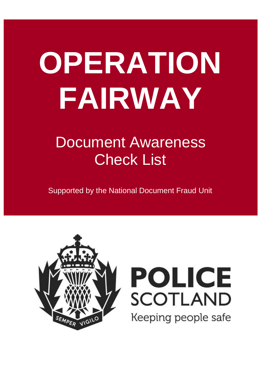# **OPERATION FAIRWAY**

# Document Awareness Check List

Supported by the National Document Fraud Unit



# **POLICE SCOTLAND** Keeping people safe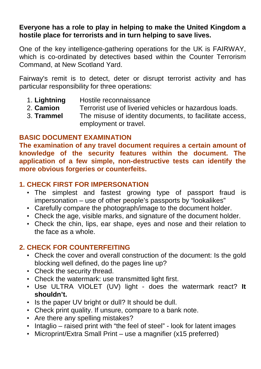#### **Everyone has a role to play in helping to make the United Kingdom a hostile place for terrorists and in turn helping to save lives.**

One of the key intelligence-gathering operations for the UK is FAIRWAY, which is co-ordinated by detectives based within the Counter Terrorism Command, at New Scotland Yard.

Fairway's remit is to detect, deter or disrupt terrorist activity and has particular responsibility for three operations:

- 1. **Lightning** Hostile reconnaissance
- 2. **Camion** Terrorist use of liveried vehicles or hazardous loads.
- 3. **Trammel** The misuse of identity documents, to facilitate access, employment or travel.

#### **BASIC DOCUMENT EXAMINATION**

**The examination of any travel document requires a certain amount of knowledge of the security features within the document. The application of a few simple, non-destructive tests can identify the more obvious forgeries or counterfeits.** 

#### **1. CHECK FIRST FOR IMPERSONATION**

- The simplest and fastest growing type of passport fraud is impersonation – use of other people's passports by "lookalikes"
- Carefully compare the photograph/image to the document holder.
- Check the age, visible marks, and signature of the document holder.
- Check the chin, lips, ear shape, eyes and nose and their relation to the face as a whole.

#### **2. CHECK FOR COUNTERFEITING**

- Check the cover and overall construction of the document: Is the gold blocking well defined, do the pages line up?
- Check the security thread.
- Check the watermark: use transmitted light first.
- Use ULTRA VIOLET (UV) light does the watermark react? **It shouldn't.**
- Is the paper UV bright or dull? It should be dull.
- Check print quality. If unsure, compare to a bank note.
- Are there any spelling mistakes?
- Intaglio raised print with "the feel of steel" look for latent images
- Microprint/Extra Small Print use a magnifier (x15 preferred)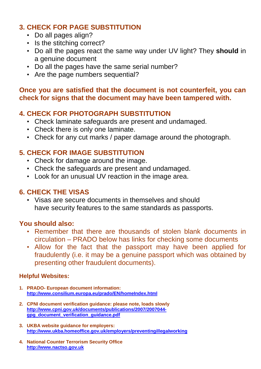#### **3. CHECK FOR PAGE SUBSTITUTION**

- Do all pages align?
- Is the stitching correct?
- Do all the pages react the same way under UV light? They **should** in a genuine document
- Do all the pages have the same serial number?
- Are the page numbers sequential?

#### **Once you are satisfied that the document is not counterfeit, you can check for signs that the document may have been tampered with.**

#### **4. CHECK FOR PHOTOGRAPH SUBSTITUTION**

- Check laminate safeguards are present and undamaged.
- Check there is only one laminate.
- Check for any cut marks / paper damage around the photograph.

#### **5. CHECK FOR IMAGE SUBSTITUTION**

- Check for damage around the image.
- Check the safeguards are present and undamaged.
- Look for an unusual UV reaction in the image area.

#### **6. CHECK THE VISAS**

• Visas are secure documents in themselves and should have security features to the same standards as passports.

#### **You should also:**

- Remember that there are thousands of stolen blank documents in circulation – PRADO below has links for checking some documents
- Allow for the fact that the passport may have been applied for fraudulently (i.e. it may be a genuine passport which was obtained by presenting other fraudulent documents).

#### **Helpful Websites:**

- **1. PRADO- European document information: http://www.consilium.europa.eu/prado/EN/homeIndex.html**
- **2. CPNI document verification guidance: please note, loads slowly http://www.cpni.gov.uk/documents/publications/2007/2007044 gpg\_document\_verification\_guidance.pdf**
- **3. UKBA website guidance for employers: http://www.ukba.homeoffice.gov.uk/employers/preventingillegalworking**
- **4. National Counter Terrorism Security Office http://www.nactso.gov.uk**